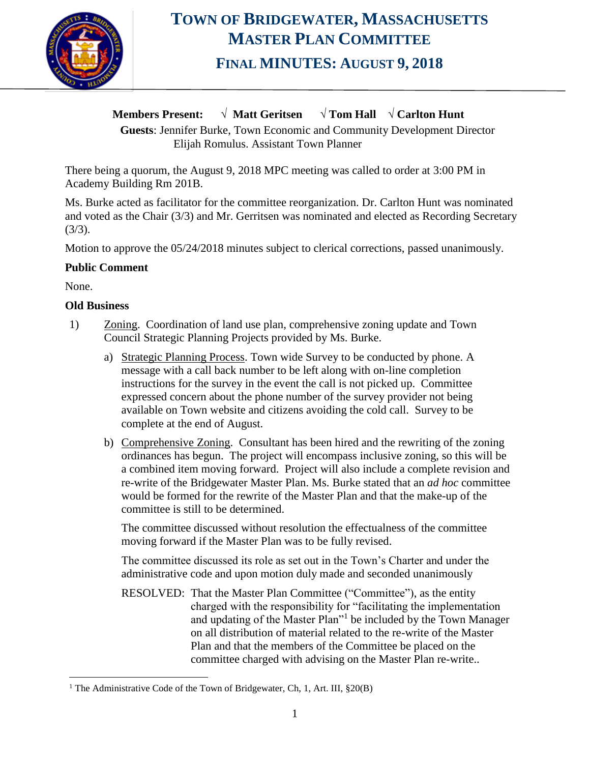

# **TOWN OF BRIDGEWATER, MASSACHUSETTS MASTER PLAN COMMITTEE FINAL MINUTES: AUGUST 9, 2018**

### **Members Present: √ Matt Geritsen** √ **Tom Hall √ Carlton Hunt**

**Guests**: Jennifer Burke, Town Economic and Community Development Director Elijah Romulus. Assistant Town Planner

There being a quorum, the August 9, 2018 MPC meeting was called to order at 3:00 PM in Academy Building Rm 201B.

Ms. Burke acted as facilitator for the committee reorganization. Dr. Carlton Hunt was nominated and voted as the Chair (3/3) and Mr. Gerritsen was nominated and elected as Recording Secretary  $(3/3)$ .

Motion to approve the 05/24/2018 minutes subject to clerical corrections, passed unanimously.

### **Public Comment**

None.

 $\overline{a}$ 

### **Old Business**

- 1) Zoning. Coordination of land use plan, comprehensive zoning update and Town Council Strategic Planning Projects provided by Ms. Burke.
	- a) Strategic Planning Process. Town wide Survey to be conducted by phone. A message with a call back number to be left along with on-line completion instructions for the survey in the event the call is not picked up. Committee expressed concern about the phone number of the survey provider not being available on Town website and citizens avoiding the cold call. Survey to be complete at the end of August.
	- b) Comprehensive Zoning. Consultant has been hired and the rewriting of the zoning ordinances has begun. The project will encompass inclusive zoning, so this will be a combined item moving forward. Project will also include a complete revision and re-write of the Bridgewater Master Plan. Ms. Burke stated that an *ad hoc* committee would be formed for the rewrite of the Master Plan and that the make-up of the committee is still to be determined.

The committee discussed without resolution the effectualness of the committee moving forward if the Master Plan was to be fully revised.

The committee discussed its role as set out in the Town's Charter and under the administrative code and upon motion duly made and seconded unanimously

RESOLVED: That the Master Plan Committee ("Committee"), as the entity charged with the responsibility for "facilitating the implementation and updating of the Master Plan"<sup>1</sup> be included by the Town Manager on all distribution of material related to the re-write of the Master Plan and that the members of the Committee be placed on the committee charged with advising on the Master Plan re-write..

<sup>&</sup>lt;sup>1</sup> The Administrative Code of the Town of Bridgewater, Ch, 1, Art. III, §20(B)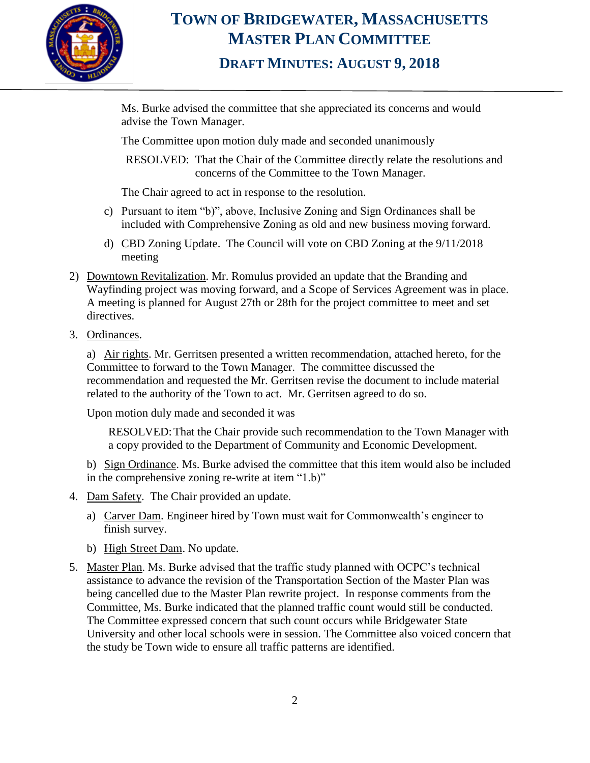

# **TOWN OF BRIDGEWATER, MASSACHUSETTS MASTER PLAN COMMITTEE DRAFT MINUTES: AUGUST 9, 2018**

Ms. Burke advised the committee that she appreciated its concerns and would advise the Town Manager.

The Committee upon motion duly made and seconded unanimously

RESOLVED: That the Chair of the Committee directly relate the resolutions and concerns of the Committee to the Town Manager.

The Chair agreed to act in response to the resolution.

- c) Pursuant to item "b)", above, Inclusive Zoning and Sign Ordinances shall be included with Comprehensive Zoning as old and new business moving forward.
- d) CBD Zoning Update. The Council will vote on CBD Zoning at the 9/11/2018 meeting
- 2) Downtown Revitalization. Mr. Romulus provided an update that the Branding and Wayfinding project was moving forward, and a Scope of Services Agreement was in place. A meeting is planned for August 27th or 28th for the project committee to meet and set directives.
- 3. Ordinances.

a) Air rights. Mr. Gerritsen presented a written recommendation, attached hereto, for the Committee to forward to the Town Manager. The committee discussed the recommendation and requested the Mr. Gerritsen revise the document to include material related to the authority of the Town to act. Mr. Gerritsen agreed to do so.

Upon motion duly made and seconded it was

RESOLVED:That the Chair provide such recommendation to the Town Manager with a copy provided to the Department of Community and Economic Development.

b) Sign Ordinance. Ms. Burke advised the committee that this item would also be included in the comprehensive zoning re-write at item "1.b)"

- 4. Dam Safety. The Chair provided an update.
	- a) Carver Dam. Engineer hired by Town must wait for Commonwealth's engineer to finish survey.
	- b) High Street Dam. No update.
- 5. Master Plan. Ms. Burke advised that the traffic study planned with OCPC's technical assistance to advance the revision of the Transportation Section of the Master Plan was being cancelled due to the Master Plan rewrite project. In response comments from the Committee, Ms. Burke indicated that the planned traffic count would still be conducted. The Committee expressed concern that such count occurs while Bridgewater State University and other local schools were in session. The Committee also voiced concern that the study be Town wide to ensure all traffic patterns are identified.